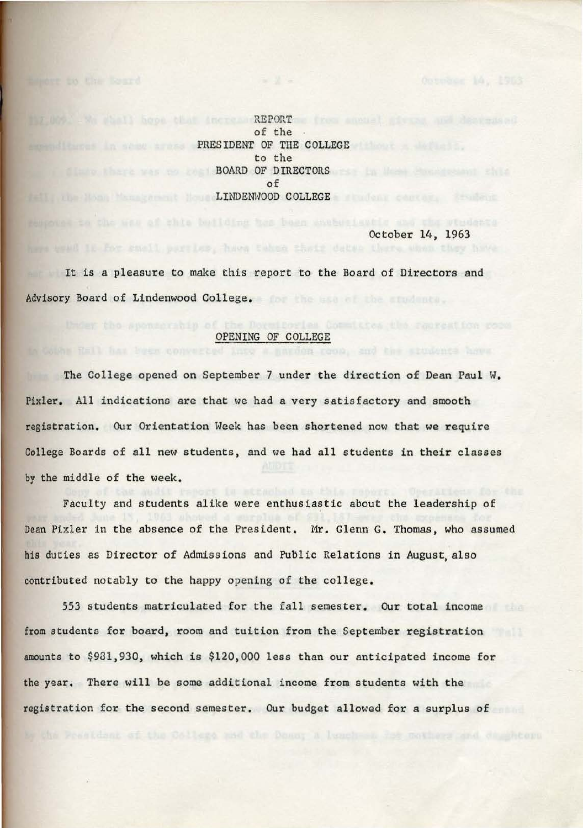T UNA IN THEIR hood that increaseREPORT to from sometimist pieces and descensed of the **PRESIDENT OF THE COLLEGE** to the BOARD OF DIRECTORS AND ARREST OF A SECOND ASSESSMENT OF A SECOND ASSESSMENT OF A SECOND ASSESSMENT OF A SECOND ASSESSMENT OF A SECOND ASSESSMENT OF A SECOND ASSESSMENT OF A SECOND ASSESSMENT OF A SECOND ASSESSMENT OF A SEC of LINDENWOOD COLLEGE AND A LINDENWOOD COLLEGE AND A LINDENWOOD COLLEGE AND A LIND COLLEGE AND A LIND COLLEGE AND A LIND COLLEGE AND A LIND COLLEGE AND A LIND COLLEGE AND A LIND COLLEGE AND A LIND COLLEGE AND A LIND COLLEGE A

October 14, 1963

4 narden room, and the students have

It is a pleasure to make this report to the Board of Directors and **Advisory** Board of Lindenwood College.

here trad it for small parties, have taken thats dates there.

## OPENING OF COLLEGE

The College opened on September 7 under the direction of Dean Paul w. Pixler. All indications are that we had a very satisfactory and smooth registration. Our Orientation Week has been shortened now that we require College Boards of all new students, and we had all students in their classes by the middle of the week.

Faculty and students alike were enthusiastic about the leadership of Dean Pixler in the absence of the President. Mr. Glenn G. Thomas, who assumed his duties as Director of Admissions and Public Relations in August, also contributed notably to the happy opening of the college.

553 students matriculated for the fall semester. Our total income from students for board, room and tuition from the September registration amounts to \$981,930, which is \$120,000 less than our anticipated income for the year. There will be some additional income from students with the registration for the second semester. Our budget allowed for a surplus of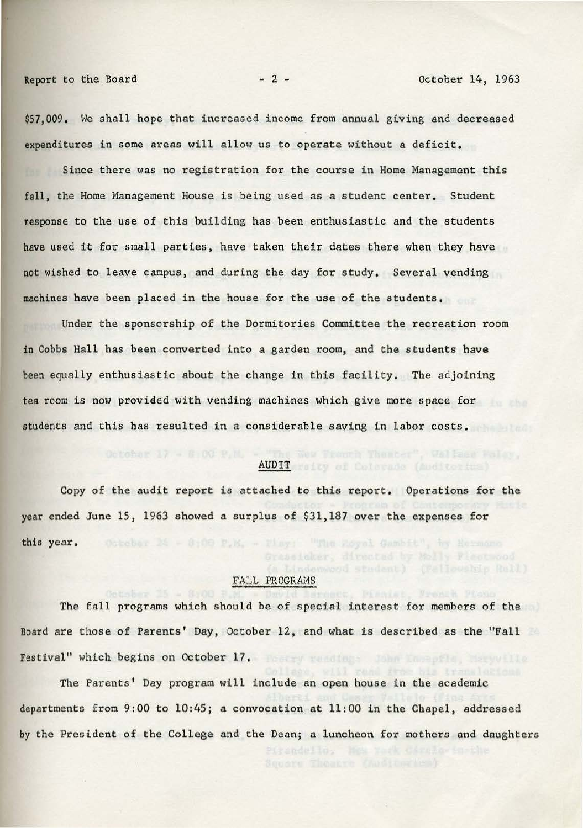\$57,009. We shall hope that increased income from annual giving and decreased expenditures in some areas will allow us to operate without a deficit.

Since there was no registration for the course in Home Management this fall, the Home Management House is being used as a student center. Student response to the use of this building has been enthusiastic and the students have used it for small parties, have taken their dates there when they have not wished to leave campus, and during the day for study. Several vending machines have been placed in the house for the use of the students.

Under the sponsorship of the Dormitories Committee the recreation room in Cobbs Hall has been converted into a garden room, and the students have been equally enthusiastic about the change in this facility. The adjoining tea room is now provided with vending machines which give more space for students and this has resulted in a considerable saving in labor costs,

# AUDIT waity of Colerado (Auditorium)

Copy of the audit report is attached to this report. Operations for the year ended June 15, 1963 showed a surplus of \$31,187 over the expenses for this year. October 24 - 8:00 P.M. - Flays' "The Royal Gambit", by Hermann

#### FALL PROGRAMS

The fall programs which should be of special interest for members of the Board are those of Parents' Day, October 12, and what is described as the "Fall Festival" which begins on October 17.

The Parents' Day program will include an open house in the academic departments from 9:00 to 10:45; a convocation at 11:00 in the Chapel, addressed by the President of the College and the Dean; a luncheon for mothers and daughters

Grandello,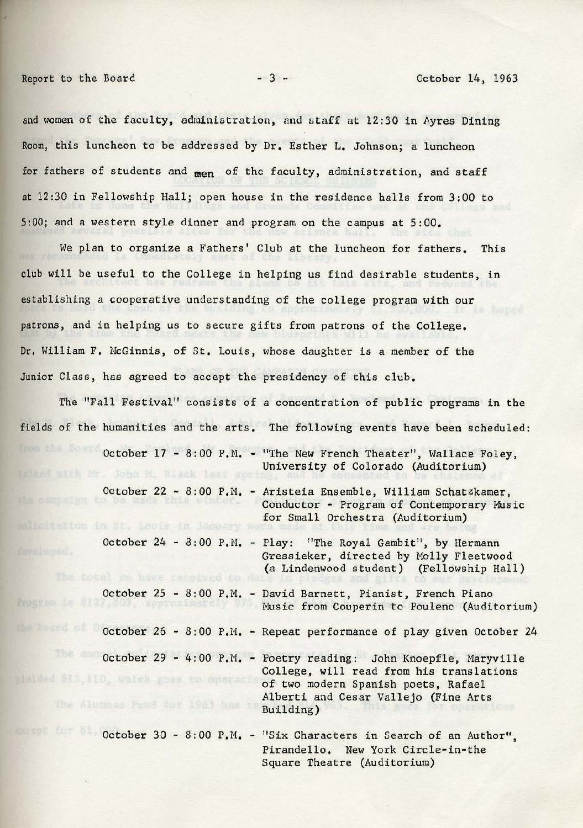and women of the faculty, administration, and staff at 12:30 in Ayres Dining Room, this luncheon to be addressed by Dr. Esther L. Johnson; a luncheon for fathers of students and **men** of the faculty, administration, and staff **at** 12:30 in Fellowship Hall; open house in the residence halls from 3:00 to 5:00; and a western style dinner and program on the campus at 5:00.

We plan to organize a Fathers' Club at the luncheon for fathers, This club will be useful to the College in helping us find desirable students, in establishing a cooperative understanding of the college program with our patrons, and in helping us to secure gifts from patrons of the College, Dr, William F. McGinnis, of St, Louis, whose daughter is a member of the Junior Class, has agreed to accept the presidency of this club.

The "Fall Festival" consists of a concentration of public programs in the fields of the humanities and the arts, The following events have been scheduled: October 17 - 8:00 P.M. - "The New French Theater", Wallace Foley, University of Colorado (Auditorium) October 22 - 8:00 P.M. - Aristeia Ensemble, William Schatzkamer, Conductor - Program of Contemporary Music for Small Orchestra (Auditorium) witcitetion in St. Louis in January October 24 - 8:00 P.M. - Play: "The Royal Gambit", by Hermann Gressieker, directed by Molly Fleetwood (a Lindenwood student) (Fellowship Hall) The total we have received to October 25 - 8:00 P.M. - David Barnett, Pianist, French Piano Music from Couperin to Poulenc (Auditorium) October 26 - 8:00 P.M. - Repeat performance of play given October 24 October 29 - 4:00 P.M. - Poetry reading: John Knoepfle, Maryville College, will read from his translations tialded \$13,110, which goes to operatio of two modern Spanish poets, Rafael Alberti and Cesar Vallejo (Fine Arts The Alumna Pand Car 1963 has to Building) October 30 - 8:00 P.M. - "Six Characters in Search of an Author", Pirandello. New York Circle-in-the

Square Theatre (Auditorium)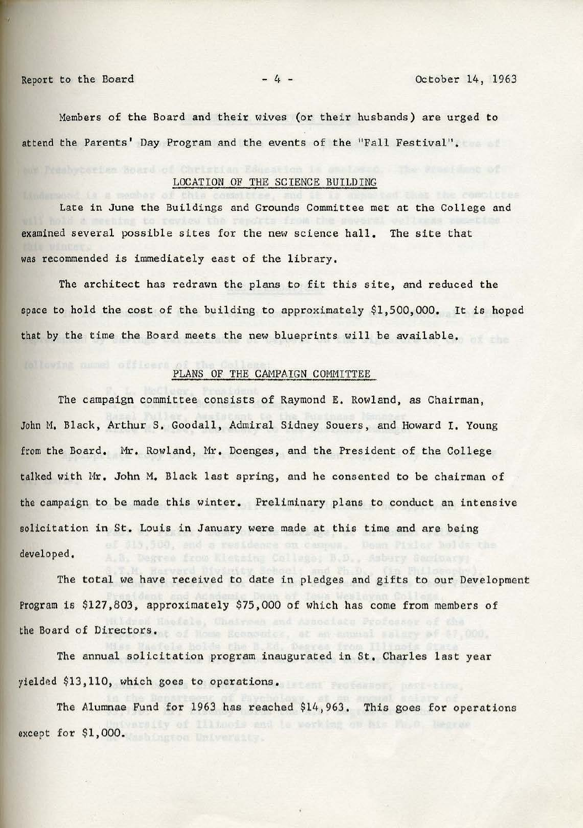Members of the Board and their wives (or their husbands) are urged to attend the Parents' Day Program and the events of the "Fall Festival".

#### LOCATION OF THE SCIENCE BUILDING

Late in June the Buildings and Grounds Committee met at the College and examined several possible sites for the new science hall. The site that was recommended is immediately east of the library.

The architect has redrawn the plans to fit this site, and reduced the space to hold the cost of the building to approximately \$1,500,000. It is hoped that by the time the Board meets the new blueprints will be available.

# PLANS OF THE CAMPAIGN COMMITTEE

The campaign committee consists of Raymond E. Rowland, as Chairman, John M, Black, Arthur S, Goodall, Admiral Sidney Souers, and Howard I. Young from the Board. Mr, Rowland, Mr. Doenges, and the President of the College talked with Mr. John M. Black last spring, and he consented to be chairman of the campaign to be made this winter. Preliminary plans to conduct an intensive solicitation **in** St. Louis in January were made at this time and are being developed.

The total we have received to date in pledges and gifts to our Development Program is \$127,803, approximately \$75,000 of which has come from members of the Board of Directors. The Board Become of the Board of Directors.

The annual solicitation program inaugurated in St, Charles last year yielded \$13,110, which goes to operations.

The Alumnae Fund for 1963 has reached \$14,963. This goes for operations y of Illinois and is working on his Ma. O. except for \$1,000.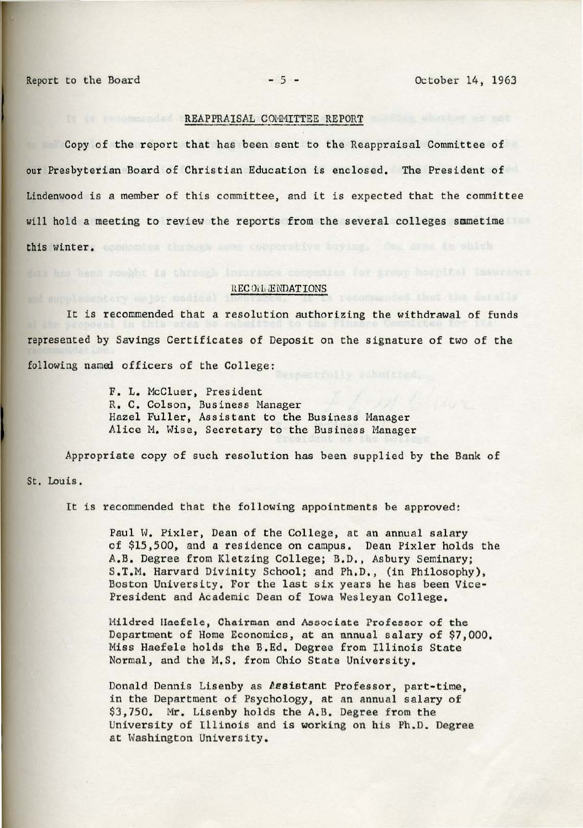## REAPPRAISAL COMMITTEE REPORT

Copy of the report that has been sent to the Reappraisal Committee of our Presbyterian Board of Christian Education is enclosed. The President of Lindenwood is a member of this committee, and it is expected that the committee will hold a meeting to review the reports from the several colleges smmetime this winter, economica chrough come cooperative having. One area in shich

#### REC OIL ENDATIONS

It is recommended that a resolution authorizing the withdrawal of funds represented by Savings Certificates of Deposit on the signature of two of the following named officers of the College:

> F. L. Mccluer, President R. C. Colson, Business Manager Hazel Fuller, Assistant to the Business Manager Alice M. Wise, Secretary to the Business Manager

Appropriate copy of such resolution has been supplied by the Bank of St. Louis.

It is recommended that the following appointments be approved:

Paul W. Pixler, Dean of the College, at an annual salary of \$15,500, and a residence on campus. Dean Pixler holds the A.B. Degree from Kletzing College; B.D., Asbury Seminary; S.T.M. Harvard Divinity School; and Ph.D., (in Philosophy), Boston University. For the last six years he has been Vice-President and Academic Dean of Iowa Wesleyan College.

Mildred Haefele, Chairman and Associate Professor of the Department of Home Economics, at an annual salary of \$7,000. Miss Haefele holds the B.Ed. Degree from Illinois State Normal, and the M.S. from Ohio State University.

Donald Dennis Lisenby as *lesistant Professor*, part-time, in the Department of Psychology, at an annual salary of \$3,750. Mr. Lisenby holds the A.B. Degree from the University of Illinois and is working on his Ph.D. Degree at Washington University.